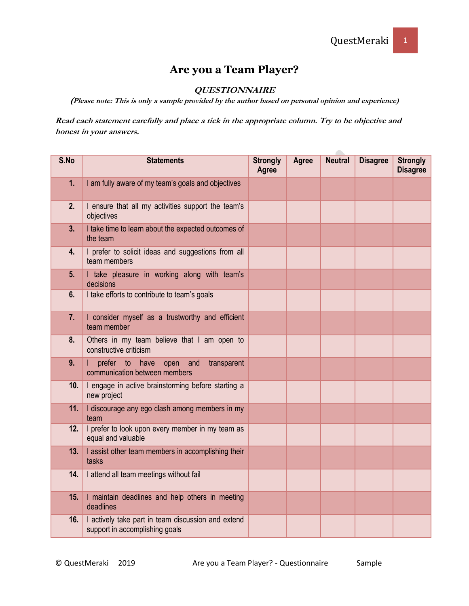## **Are you a Team Player?**

## **QUESTIONNAIRE**

**(Please note: This is only a sample provided by the author based on personal opinion and experience)**

**Read each statement carefully and place a tick in the appropriate column. Try to be objective and honest in your answers.** 

| S.No | <b>Statements</b>                                                                    | <b>Strongly</b><br>Agree | <b>Agree</b> | <b>Neutral</b> | <b>Disagree</b> | <b>Strongly</b><br><b>Disagree</b> |
|------|--------------------------------------------------------------------------------------|--------------------------|--------------|----------------|-----------------|------------------------------------|
| 1.   | I am fully aware of my team's goals and objectives                                   |                          |              |                |                 |                                    |
| 2.   | I ensure that all my activities support the team's<br>objectives                     |                          |              |                |                 |                                    |
| 3.   | I take time to learn about the expected outcomes of<br>the team                      |                          |              |                |                 |                                    |
| 4.   | I prefer to solicit ideas and suggestions from all<br>team members                   |                          |              |                |                 |                                    |
| 5.   | I take pleasure in working along with team's<br>decisions                            |                          |              |                |                 |                                    |
| 6.   | I take efforts to contribute to team's goals                                         |                          |              |                |                 |                                    |
| 7.   | I consider myself as a trustworthy and efficient<br>team member                      |                          |              |                |                 |                                    |
| 8.   | Others in my team believe that I am open to<br>constructive criticism                |                          |              |                |                 |                                    |
| 9.   | prefer to<br>have<br>open<br>and<br>transparent<br>communication between members     |                          |              |                |                 |                                    |
| 10.  | I engage in active brainstorming before starting a<br>new project                    |                          |              |                |                 |                                    |
| 11.  | I discourage any ego clash among members in my<br>team                               |                          |              |                |                 |                                    |
| 12.  | I prefer to look upon every member in my team as<br>equal and valuable               |                          |              |                |                 |                                    |
| 13.  | I assist other team members in accomplishing their<br>tasks                          |                          |              |                |                 |                                    |
| 14.  | I attend all team meetings without fail                                              |                          |              |                |                 |                                    |
| 15.  | I maintain deadlines and help others in meeting<br>deadlines                         |                          |              |                |                 |                                    |
| 16.  | I actively take part in team discussion and extend<br>support in accomplishing goals |                          |              |                |                 |                                    |